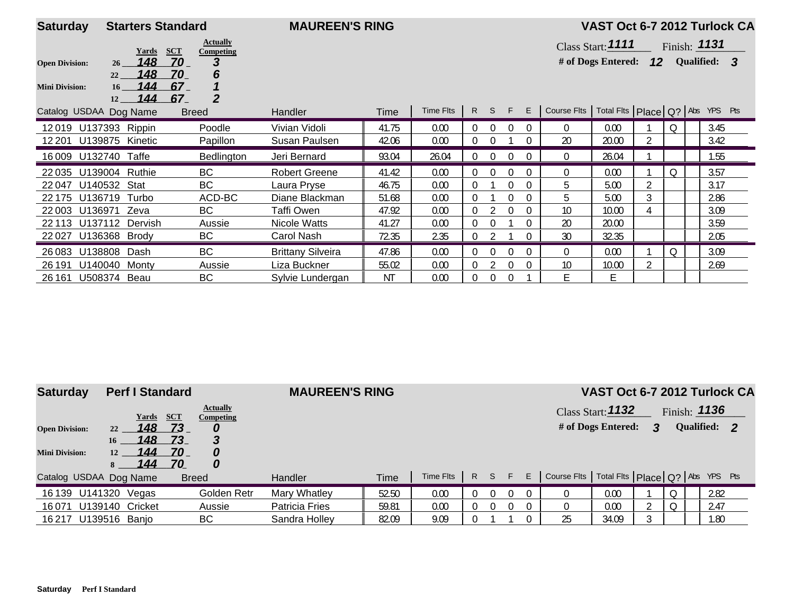| <b>Saturday</b>        | <b>Starters Standard</b> |                                            | <b>MAUREEN'S RING</b>    |       |           |                |          |          |          |                                                     | VAST Oct 6-7 2012 Turlock CA |   |         |                |  |
|------------------------|--------------------------|--------------------------------------------|--------------------------|-------|-----------|----------------|----------|----------|----------|-----------------------------------------------------|------------------------------|---|---------|----------------|--|
|                        | Yards                    | <b>Actually</b><br><b>SCT</b><br>Competing |                          |       |           |                |          |          |          |                                                     | Class Start: 1111            |   |         | Finish: $1131$ |  |
| <b>Open Division:</b>  | 148<br>26 <sup>2</sup>   | 3<br>70                                    |                          |       |           |                |          |          |          |                                                     | # of Dogs Entered: $12$      |   |         | Qualified: 3   |  |
|                        | 148<br>22                | 70<br>6                                    |                          |       |           |                |          |          |          |                                                     |                              |   |         |                |  |
| <b>Mini Division:</b>  | 144<br>16 <sup>1</sup>   | 67                                         |                          |       |           |                |          |          |          |                                                     |                              |   |         |                |  |
| Catalog USDAA Dog Name | 144<br>12                | $\overline{2}$<br>67<br><b>Breed</b>       | Handler                  | Time  | Time Flts |                | R S F    |          | E        | Course Flts   Total Flts   Place   Q?   Abs YPS Pts |                              |   |         |                |  |
| 12019                  | U137393 Rippin           | Poodle                                     | Vivian Vidoli            | 41.75 | 0.00      |                | 0        |          |          | 0                                                   | 0.00                         |   | Q       | 3.45           |  |
| 12 2 0 1               | U139875 Kinetic          | Papillon                                   | Susan Paulsen            | 42.06 | 0.00      | 0              | 0        |          | $\Omega$ | 20                                                  | 20.00                        |   |         | 3.42           |  |
| 16009                  | U132740 Taffe            | Bedlington                                 | Jeri Bernard             | 93.04 | 26.04     | 0              | 0        | $\Omega$ |          | $\overline{0}$                                      | 26.04                        |   |         | 1.55           |  |
| 22 0 35                | U139004 Ruthie           | BC                                         | <b>Robert Greene</b>     | 41.42 | 0.00      | $\Omega$       | $\Omega$ |          |          | $\Omega$                                            | 0.00                         |   | $\circ$ | 3.57           |  |
| 22047                  | U140532 Stat             | BC                                         | Laura Pryse              | 46.75 | 0.00      | 0              |          | $\Omega$ | $\Omega$ | 5                                                   | 5.00                         |   |         | 3.17           |  |
| 22 175                 | U136719 Turbo            | ACD-BC                                     | Diane Blackman           | 51.68 | 0.00      | $\theta$       |          |          | 0        | 5                                                   | 5.00                         | 3 |         | 2.86           |  |
| 22 003                 | Zeva<br>U136971          | BC                                         | Taffi Owen               | 47.92 | 0.00      | 0              |          | $\Omega$ | 0        | 10                                                  | 10.00                        | 4 |         | 3.09           |  |
| 22 113                 | U137112 Dervish          | Aussie                                     | Nicole Watts             | 41.27 | 0.00      | 0              | 0        |          | $\Omega$ | 20                                                  | 20.00                        |   |         | 3.59           |  |
| 22027                  | U136368 Brody            | ВC                                         | Carol Nash               | 72.35 | 2.35      | 0              |          |          | $\Omega$ | 30                                                  | 32.35                        |   |         | 2.05           |  |
| 26083                  | U138808 Dash             | <b>BC</b>                                  | <b>Brittany Silveira</b> | 47.86 | 0.00      | $\overline{0}$ | $\Omega$ | $\Omega$ | $\Omega$ | $\Omega$                                            | 0.00                         |   | Q       | 3.09           |  |
| 26 191                 | U140040 Monty            | Aussie                                     | Liza Buckner             | 55.02 | 0.00      | 0              |          |          | $\Omega$ | 10                                                  | 10.00                        |   |         | 2.69           |  |
| 26 161                 | U508374 Beau             | BC                                         | Sylvie Lundergan         | ΝT    | 0.00      | $\theta$       | $\theta$ | $\Omega$ |          | E.                                                  | E                            |   |         |                |  |

| <b>Saturday</b>                                | <b>Perf I Standard</b>                                                  |                                                                                     | <b>MAUREEN'S RING</b> |       |           |     |          |    |                                                     | VAST Oct 6-7 2012 Turlock CA              |   |   |                                |  |
|------------------------------------------------|-------------------------------------------------------------------------|-------------------------------------------------------------------------------------|-----------------------|-------|-----------|-----|----------|----|-----------------------------------------------------|-------------------------------------------|---|---|--------------------------------|--|
| <b>Open Division:</b><br><b>Mini Division:</b> | <b>Yards</b><br><u> 148</u><br>22<br>148<br>16<br>144<br>12<br>144<br>8 | <b>Actually</b><br><b>SCT</b><br>Competing<br>73<br>-73.<br>3<br>70<br>0<br>70<br>0 |                       |       |           |     |          |    |                                                     | Class Start: $1132$<br># of Dogs Entered: | 3 |   | Finish: $1136$<br>Qualified: 2 |  |
| Catalog USDAA Dog Name                         |                                                                         | <b>Breed</b>                                                                        | <b>Handler</b>        | Time  | Time Flts | R S | E        | E. | Course Flts   Total Flts   Place   Q?   Abs YPS Pts |                                           |   |   |                                |  |
| 16 139                                         | U141320<br>Vegas                                                        | Golden Retr                                                                         | Mary Whatley          | 52.50 | 0.00      |     | $\Omega$ |    |                                                     | 0.00                                      |   | 0 | 2.82                           |  |
| 16 071                                         | U139140 Cricket                                                         | Aussie                                                                              | Patricia Fries        | 59.81 | 0.00      |     | $\Omega$ |    |                                                     | 0.00                                      |   | Q | 2.47                           |  |
| 16217 U139516 Banjo                            |                                                                         | BC                                                                                  | Sandra Holley         | 82.09 | 9.09      |     |          |    | 25                                                  | 34.09                                     |   |   | 1.80                           |  |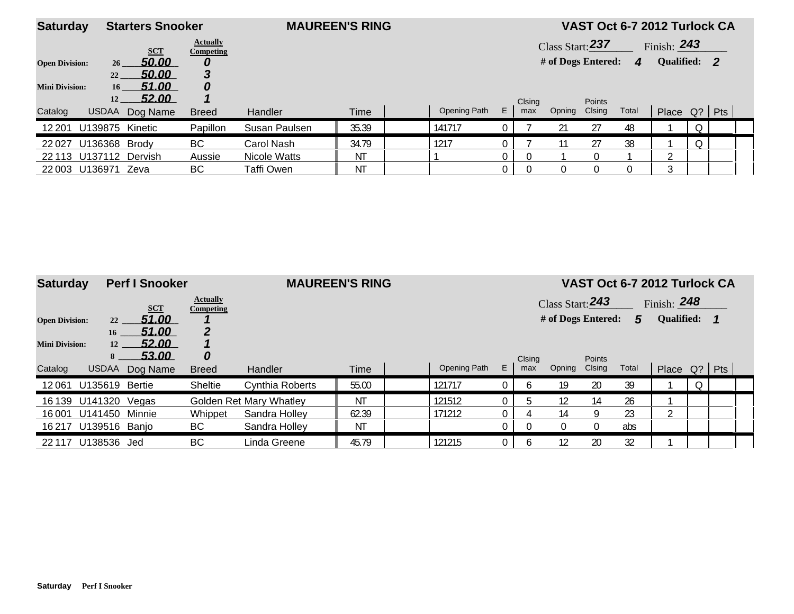| <b>Saturday</b>       | <b>Starters Snooker</b>  |                              |                | <b>MAUREEN'S RING</b> |              |    |        |                    |        | VAST Oct 6-7 2012 Turlock CA |               |         |  |
|-----------------------|--------------------------|------------------------------|----------------|-----------------------|--------------|----|--------|--------------------|--------|------------------------------|---------------|---------|--|
|                       | <b>SCT</b>               | <b>Actually</b><br>Competing |                |                       |              |    |        | Class Start: 237   |        |                              | Finish: $243$ |         |  |
| <b>Open Division:</b> | 50.00<br>26              |                              |                |                       |              |    |        | # of Dogs Entered: |        | $\boldsymbol{\Lambda}$       | Qualified: 2  |         |  |
|                       | 50.00<br>22              |                              |                |                       |              |    |        |                    |        |                              |               |         |  |
| <b>Mini Division:</b> | 51.00<br>16 <sup>1</sup> | 0                            |                |                       |              |    |        |                    |        |                              |               |         |  |
|                       | 52.00<br>12              |                              |                |                       |              |    | Clsing |                    | Points |                              |               |         |  |
| Catalog               | <b>USDAA</b><br>Dog Name | <b>Breed</b>                 | <b>Handler</b> | Time                  | Opening Path | E. | max    | Opning             | Clsing | Total                        | Place Q? Pts  |         |  |
| 12 201                | Kinetic<br>U139875       | Papillon                     | Susan Paulsen  | 35.39                 | 141717       |    |        | 21                 | 27     | 48                           |               | Q       |  |
| 22027                 | U136368<br>Brody         | BC.                          | Carol Nash     | 34.79                 | 1217         |    |        |                    | 27     | 38                           |               | $\circ$ |  |
| 22 113                | U137112<br>Dervish       | Aussie                       | Nicole Watts   | ΝT                    |              |    |        |                    |        |                              | $\sim$        |         |  |
| 22 003                | U136971<br>Zeva          | ВC                           | Taffi Owen     | ΝT                    |              |    |        |                    | 0      |                              | ્ર            |         |  |

| <b>Saturday</b>       |                       | <b>Perf I Snooker</b> |                                     | <b>MAUREEN'S RING</b>   |             |              |    |        |                    |             | VAST Oct 6-7 2012 Turlock CA |                   |  |  |
|-----------------------|-----------------------|-----------------------|-------------------------------------|-------------------------|-------------|--------------|----|--------|--------------------|-------------|------------------------------|-------------------|--|--|
|                       |                       | <b>SCT</b>            | <b>Actually</b><br><b>Competing</b> |                         |             |              |    |        | Class Start: 243   |             |                              | Finish: $248$     |  |  |
| <b>Open Division:</b> | 22                    | 51.00                 |                                     |                         |             |              |    |        | # of Dogs Entered: |             | 5                            | <b>Qualified:</b> |  |  |
|                       | 16                    | 51.00                 |                                     |                         |             |              |    |        |                    |             |                              |                   |  |  |
| <b>Mini Division:</b> | 12                    | 52.00                 |                                     |                         |             |              |    |        |                    |             |                              |                   |  |  |
|                       | 8                     | <b>53.00</b>          | 0                                   |                         |             |              |    | Clsing |                    | Points      |                              |                   |  |  |
| Catalog               | <b>USDAA</b>          | Dog Name              | <b>Breed</b>                        | <b>Handler</b>          | <b>Time</b> | Opening Path | E. | max    | Opning             | Clsing      | Total                        | Place Q?   Pts    |  |  |
| 12061                 | <b>U135619 Bertie</b> |                       | Sheltie                             | Cynthia Roberts         | 55.00       | 121717       | 0  |        | 19                 | 20          | 39                           |                   |  |  |
| 16 139                | U141320               | Vegas                 |                                     | Golden Ret Mary Whatley | <b>NT</b>   | 121512       |    | h      | 12                 | 14          | 26                           |                   |  |  |
| 16 001                | U141450 Minnie        |                       | Whippet                             | Sandra Holley           | 62.39       | 171212       |    |        | 14                 | Q           | 23                           | ി                 |  |  |
|                       | 16217 U139516 Banjo   |                       | BC                                  | Sandra Holley           | ΝT          |              | 0. |        |                    | $\mathbf 0$ | abs                          |                   |  |  |
| 22 117                | U138536               | Jed                   | ВC                                  | Linda Greene            | 45.79       | 121215       |    |        | 12                 | 20          | 32                           |                   |  |  |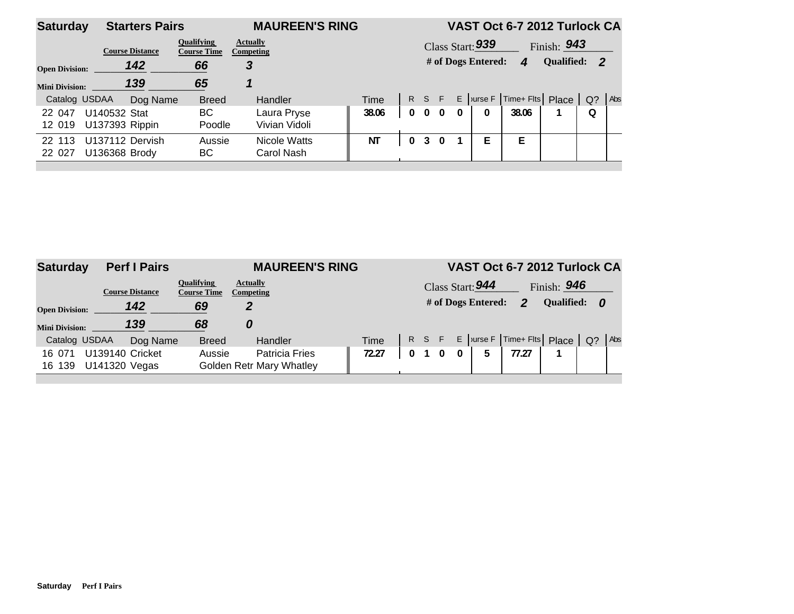| <b>Saturday</b>       | <b>Starters Pairs</b>            |                                         |                              | <b>MAUREEN'S RING</b> |          |                |            |                          | VAST Oct 6-7 2012 Turlock CA            |                    |   |     |
|-----------------------|----------------------------------|-----------------------------------------|------------------------------|-----------------------|----------|----------------|------------|--------------------------|-----------------------------------------|--------------------|---|-----|
|                       | <b>Course Distance</b>           | <b>Oualifying</b><br><b>Course Time</b> | <b>Actually</b><br>Competing |                       |          |                |            | Class Start: 939         |                                         | Finish: <b>943</b> |   |     |
| <b>Open Division:</b> | 142                              | 66                                      | 3                            |                       |          |                |            | # of Dogs Entered:       | $\boldsymbol{4}$                        | Qualified: 2       |   |     |
| <b>Mini Division:</b> | 139                              | 65                                      |                              |                       |          |                |            |                          |                                         |                    |   |     |
| Catalog USDAA         |                                  | Dog Name<br><b>Breed</b>                | Handler                      | <b>Time</b>           |          |                | R S F      |                          | E   urse F   Time+ Flts   Place   $Q$ ? |                    |   | Abs |
| 22 047<br>12 019      | U140532 Stat<br>U137393 Rippin   | BC<br>Poodle                            | Laura Pryse<br>Vivian Vidoli | 38.06                 | $\bf{0}$ |                | $0\quad 0$ | $\mathbf{0}$<br>$\bf{0}$ | 38.06                                   |                    | 0 |     |
| 22 113<br>22 027      | U137112 Dervish<br>U136368 Brody | Aussie<br>BC                            | Nicole Watts<br>Carol Nash   | ΝT                    |          | 3 <sup>1</sup> | $\Omega$   | E                        | E                                       |                    |   |     |
|                       |                                  |                                         |                              |                       |          |                |            |                          |                                         |                    |   |     |

| <b>Saturday</b>       |                                  | <b>Perf I Pairs</b>    |                                         | <b>MAUREEN'S RING</b>                                    |       |  |          |                    | VAST Oct 6-7 2012 Turlock CA    |              |       |     |
|-----------------------|----------------------------------|------------------------|-----------------------------------------|----------------------------------------------------------|-------|--|----------|--------------------|---------------------------------|--------------|-------|-----|
|                       |                                  | <b>Course Distance</b> | <b>Oualifying</b><br><b>Course Time</b> | <b>Actually</b><br><b>Competing</b>                      |       |  |          | Class Start: 944   |                                 | Finish: 946  |       |     |
| <b>Open Division:</b> |                                  | 142                    | 69                                      | 2                                                        |       |  |          | # of Dogs Entered: | $\mathbf{p}$                    | Qualified: 0 |       |     |
| <b>Mini Division:</b> |                                  | 139                    | 68                                      | 0                                                        |       |  |          |                    |                                 |              |       |     |
| Catalog USDAA         |                                  | Dog Name               | <b>Breed</b>                            | Handler                                                  | Time  |  |          |                    | R S F E urse F Time+ Flts Place |              | $Q$ ? | Abs |
| 16 071<br>16 139      | U139140 Cricket<br>U141320 Vegas |                        | Aussie                                  | <b>Patricia Fries</b><br><b>Golden Retr Mary Whatley</b> | 72.27 |  | $\bf{0}$ | 5                  | 77.27                           |              |       |     |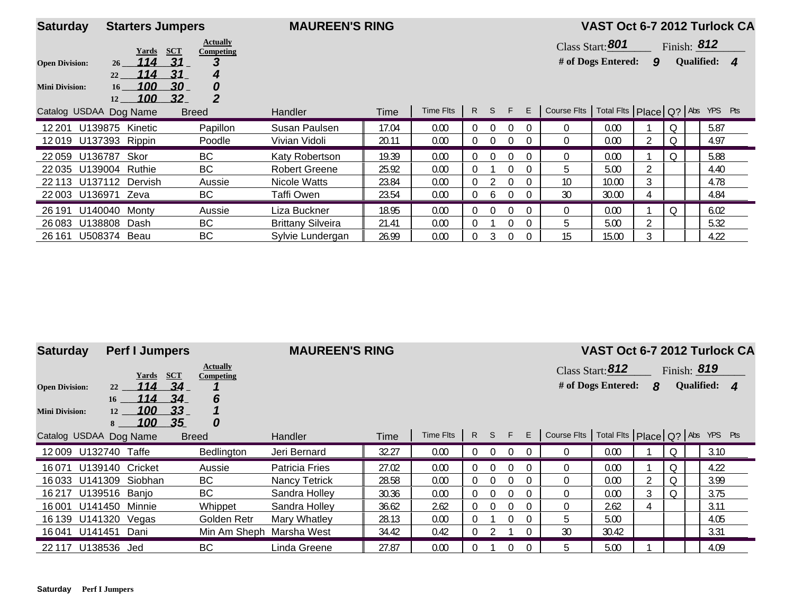| <b>Saturday</b>        | <b>Starters Jumpers</b> |                                              | <b>MAUREEN'S RING</b>    |       |           |                |              |          |                |              |                                 |   |   |               | VAST Oct 6-7 2012 Turlock CA |
|------------------------|-------------------------|----------------------------------------------|--------------------------|-------|-----------|----------------|--------------|----------|----------------|--------------|---------------------------------|---|---|---------------|------------------------------|
|                        | Yards                   | <b>Actually</b><br><b>SCT</b><br>Competing   |                          |       |           |                |              |          |                |              | Class Start: 801                |   |   | Finish: $812$ |                              |
| <b>Open Division:</b>  | 114<br>26<br>114<br>22  | 31<br>З<br>31<br>4                           |                          |       |           |                |              |          |                |              | # of Dogs Entered:              | 9 |   |               | Qualified: 4                 |
| <b>Mini Division:</b>  | 100<br>16<br>100<br>12  | 30<br>0<br>$\overline{2}$<br>32 <sub>2</sub> |                          |       |           |                |              |          |                |              |                                 |   |   |               |                              |
| Catalog USDAA Dog Name |                         | <b>Breed</b>                                 | Handler                  | Time  | Time Flts | $\mathsf{R}$   | <sub>S</sub> | F        | E              | Course Flts  | Total Fits Place Q? Abs YPS Pts |   |   |               |                              |
| 12 201                 | U139875<br>Kinetic      | Papillon                                     | Susan Paulsen            | 17.04 | 0.00      | $\Omega$       | $\Omega$     | 0        | $\Omega$       | $\Omega$     | 0.00                            |   | Q |               | 5.87                         |
|                        | 12019 U137393 Rippin    | Poodle                                       | Vivian Vidoli            | 20.11 | 0.00      | $\theta$       | $\Omega$     | 0        | $\Omega$       | $\mathbf{0}$ | 0.00                            |   | Q |               | 4.97                         |
| 22059 U136787          | Skor                    | BC                                           | Katy Robertson           | 19.39 | 0.00      | $\overline{0}$ | $\Omega$     | $\Omega$ | $\overline{0}$ | $\Omega$     | 0.00                            |   | Q |               | 5.88                         |
| 22 0 35                | U139004<br>Ruthie       | BC                                           | <b>Robert Greene</b>     | 25.92 | 0.00      | $\Omega$       |              | 0        | $\Omega$       | 5            | 5.00                            |   |   |               | 4.40                         |
|                        | 22 113 U137112 Dervish  | Aussie                                       | Nicole Watts             | 23.84 | 0.00      | $\Omega$       |              | 0        | $\Omega$       | 10           | 10.00                           |   |   |               | 4.78                         |
| 22 003 U136971 Zeva    |                         | BC                                           | Taffi Owen               | 23.54 | 0.00      | $\Omega$       | <sub>0</sub> | 0        | $\Omega$       | 30           | 30.00                           |   |   |               | 4.84                         |
| 26 191                 | U140040<br>Monty        | Aussie                                       | Liza Buckner             | 18.95 | 0.00      | $\overline{0}$ | $\Omega$     | $\Omega$ | $\Omega$       | $\Omega$     | 0.00                            |   | Q |               | 6.02                         |
| 26 0 83                | U138808<br>Dash         | BC                                           | <b>Brittany Silveira</b> | 21.41 | 0.00      | $\theta$       |              | 0        | $\Omega$       | 5            | 5.00                            |   |   |               | 5.32                         |
| 26 161                 | U508374 Beau            | BC                                           | Sylvie Lundergan         | 26.99 | 0.00      |                |              | 0        | 0              | 15           | 15.00                           |   |   |               | 4.22                         |

| <b>Saturday</b>                                |                 | <b>Perf I Jumpers</b>             |                                                                   | <b>MAUREEN'S RING</b> |       |           |              |          |              |          |             | VAST Oct 6-7 2012 Turlock CA           |   |             |              |  |
|------------------------------------------------|-----------------|-----------------------------------|-------------------------------------------------------------------|-----------------------|-------|-----------|--------------|----------|--------------|----------|-------------|----------------------------------------|---|-------------|--------------|--|
| <b>Open Division:</b><br><b>Mini Division:</b> | 22<br>16<br>12  | <u>Yards</u><br>114<br>114<br>100 | <b>Actually</b><br><b>SCT</b><br>Competing<br>34<br>34<br>6<br>33 |                       |       |           |              |          |              |          |             | Class Start: 812<br># of Dogs Entered: | 8 | Finish: 819 | Qualified: 4 |  |
| Catalog USDAA Dog Name                         | 8               | 100                               | 35<br>0<br><b>Breed</b>                                           | <b>Handler</b>        | Time  | Time Flts | $\mathsf{R}$ | S.       | $-$ F $\geq$ | E        | Course Flts | Total Fits Place Q? Abs YPS Pts        |   |             |              |  |
| 12009 U132740 Taffe                            |                 |                                   | Bedlington                                                        | Jeri Bernard          | 32.27 | 0.00      |              | $\Omega$ | $\Omega$     |          |             | 0.00                                   |   | Q           | 3.10         |  |
| 16071                                          | U139140 Cricket |                                   | Aussie                                                            | <b>Patricia Fries</b> | 27.02 | 0.00      |              | $\cap$   | $\cap$       | $\Omega$ |             | 0.00                                   |   | Q           | 4.22         |  |
| 16033                                          | U141309 Siobhan |                                   | BC                                                                | <b>Nancy Tetrick</b>  | 28.58 | 0.00      |              |          |              | $\Omega$ | 0           | 0.00                                   |   | Q           | 3.99         |  |
| 16 217                                         | U139516 Banio   |                                   | BC                                                                | Sandra Holley         | 30.36 | 0.00      |              |          |              | $\Omega$ |             | 0.00                                   | 3 | Q           | 3.75         |  |
| 16001                                          | U141450 Minnie  |                                   | Whippet                                                           | Sandra Holley         | 36.62 | 2.62      | $\Omega$     | $\Omega$ | $\Omega$     | $\Omega$ |             | 2.62                                   |   |             | 3.11         |  |
| 16 139                                         | U141320         | Vegas                             | Golden Retr                                                       | Mary Whatley          | 28.13 | 0.00      |              |          |              | $\Omega$ | 5           | 5.00                                   |   |             | 4.05         |  |
| 16041 U141451 Dani                             |                 |                                   | Min Am Sheph                                                      | Marsha West           | 34.42 | 0.42      |              |          |              |          | 30          | 30.42                                  |   |             | 3.31         |  |
| 22 117                                         | U138536         | Jed                               | BC                                                                | Linda Greene          | 27.87 | 0.00      |              |          |              |          |             | 5.00                                   |   |             | 4.09         |  |